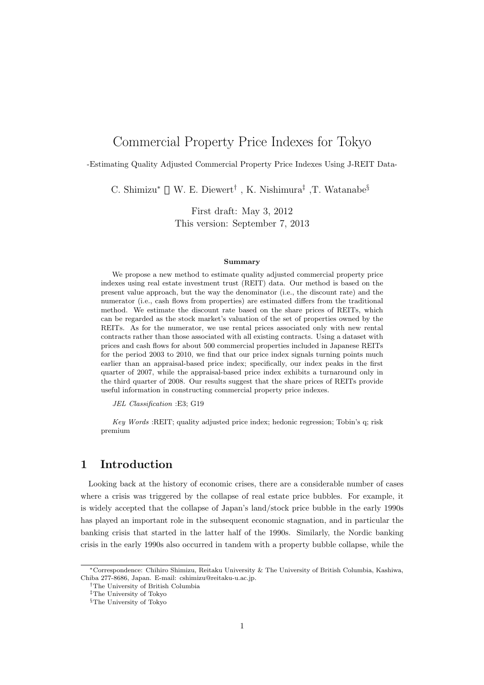# Commercial Property Price Indexes for Tokyo

-Estimating Quality Adjusted Commercial Property Price Indexes Using J-REIT Data-

C. Shimizu*<sup>∗</sup>* W. E. Diewert*†* , K. Nishimura*‡* ,T. Watanabe*§*

First draft: May 3, 2012 This version: September 7, 2013

#### **Summary**

We propose a new method to estimate quality adjusted commercial property price indexes using real estate investment trust (REIT) data. Our method is based on the present value approach, but the way the denominator (i.e., the discount rate) and the numerator (i.e., cash flows from properties) are estimated differs from the traditional method. We estimate the discount rate based on the share prices of REITs, which can be regarded as the stock market's valuation of the set of properties owned by the REITs. As for the numerator, we use rental prices associated only with new rental contracts rather than those associated with all existing contracts. Using a dataset with prices and cash flows for about 500 commercial properties included in Japanese REITs for the period 2003 to 2010, we find that our price index signals turning points much earlier than an appraisal-based price index; specifically, our index peaks in the first quarter of 2007, while the appraisal-based price index exhibits a turnaround only in the third quarter of 2008. Our results suggest that the share prices of REITs provide useful information in constructing commercial property price indexes.

*JEL Classification* :E3; G19

*Key Words* :REIT; quality adjusted price index; hedonic regression; Tobin's q; risk premium

# **1 Introduction**

Looking back at the history of economic crises, there are a considerable number of cases where a crisis was triggered by the collapse of real estate price bubbles. For example, it is widely accepted that the collapse of Japan's land/stock price bubble in the early 1990s has played an important role in the subsequent economic stagnation, and in particular the banking crisis that started in the latter half of the 1990s. Similarly, the Nordic banking crisis in the early 1990s also occurred in tandem with a property bubble collapse, while the

*<sup>∗</sup>*Correspondence: Chihiro Shimizu, Reitaku University & The University of British Columbia, Kashiwa, Chiba 277-8686, Japan. E-mail: cshimizu@reitaku-u.ac.jp.

*<sup>†</sup>*The University of British Columbia

*<sup>‡</sup>*The University of Tokyo

*<sup>§</sup>*The University of Tokyo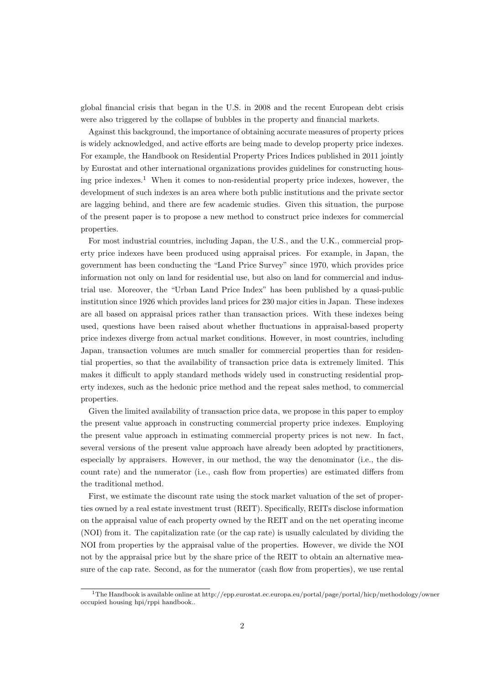global financial crisis that began in the U.S. in 2008 and the recent European debt crisis were also triggered by the collapse of bubbles in the property and financial markets.

Against this background, the importance of obtaining accurate measures of property prices is widely acknowledged, and active efforts are being made to develop property price indexes. For example, the Handbook on Residential Property Prices Indices published in 2011 jointly by Eurostat and other international organizations provides guidelines for constructing housing price indexes.<sup>1</sup> When it comes to non-residential property price indexes, however, the development of such indexes is an area where both public institutions and the private sector are lagging behind, and there are few academic studies. Given this situation, the purpose of the present paper is to propose a new method to construct price indexes for commercial properties.

For most industrial countries, including Japan, the U.S., and the U.K., commercial property price indexes have been produced using appraisal prices. For example, in Japan, the government has been conducting the "Land Price Survey" since 1970, which provides price information not only on land for residential use, but also on land for commercial and industrial use. Moreover, the "Urban Land Price Index" has been published by a quasi-public institution since 1926 which provides land prices for 230 major cities in Japan. These indexes are all based on appraisal prices rather than transaction prices. With these indexes being used, questions have been raised about whether fluctuations in appraisal-based property price indexes diverge from actual market conditions. However, in most countries, including Japan, transaction volumes are much smaller for commercial properties than for residential properties, so that the availability of transaction price data is extremely limited. This makes it difficult to apply standard methods widely used in constructing residential property indexes, such as the hedonic price method and the repeat sales method, to commercial properties.

Given the limited availability of transaction price data, we propose in this paper to employ the present value approach in constructing commercial property price indexes. Employing the present value approach in estimating commercial property prices is not new. In fact, several versions of the present value approach have already been adopted by practitioners, especially by appraisers. However, in our method, the way the denominator (i.e., the discount rate) and the numerator (i.e., cash flow from properties) are estimated differs from the traditional method.

First, we estimate the discount rate using the stock market valuation of the set of properties owned by a real estate investment trust (REIT). Specifically, REITs disclose information on the appraisal value of each property owned by the REIT and on the net operating income (NOI) from it. The capitalization rate (or the cap rate) is usually calculated by dividing the NOI from properties by the appraisal value of the properties. However, we divide the NOI not by the appraisal price but by the share price of the REIT to obtain an alternative measure of the cap rate. Second, as for the numerator (cash flow from properties), we use rental

<sup>1</sup>The Handbook is available online at http://epp.eurostat.ec.europa.eu/portal/page/portal/hicp/methodology/owner occupied housing hpi/rppi handbook..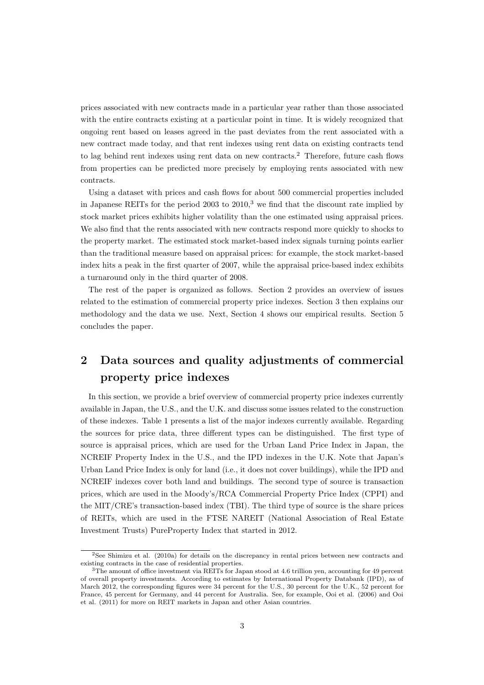prices associated with new contracts made in a particular year rather than those associated with the entire contracts existing at a particular point in time. It is widely recognized that ongoing rent based on leases agreed in the past deviates from the rent associated with a new contract made today, and that rent indexes using rent data on existing contracts tend to lag behind rent indexes using rent data on new contracts.<sup>2</sup> Therefore, future cash flows from properties can be predicted more precisely by employing rents associated with new contracts.

Using a dataset with prices and cash flows for about 500 commercial properties included in Japanese REITs for the period 2003 to  $2010<sup>3</sup>$  we find that the discount rate implied by stock market prices exhibits higher volatility than the one estimated using appraisal prices. We also find that the rents associated with new contracts respond more quickly to shocks to the property market. The estimated stock market-based index signals turning points earlier than the traditional measure based on appraisal prices: for example, the stock market-based index hits a peak in the first quarter of 2007, while the appraisal price-based index exhibits a turnaround only in the third quarter of 2008.

The rest of the paper is organized as follows. Section 2 provides an overview of issues related to the estimation of commercial property price indexes. Section 3 then explains our methodology and the data we use. Next, Section 4 shows our empirical results. Section 5 concludes the paper.

# **2 Data sources and quality adjustments of commercial property price indexes**

In this section, we provide a brief overview of commercial property price indexes currently available in Japan, the U.S., and the U.K. and discuss some issues related to the construction of these indexes. Table 1 presents a list of the major indexes currently available. Regarding the sources for price data, three different types can be distinguished. The first type of source is appraisal prices, which are used for the Urban Land Price Index in Japan, the NCREIF Property Index in the U.S., and the IPD indexes in the U.K. Note that Japan's Urban Land Price Index is only for land (i.e., it does not cover buildings), while the IPD and NCREIF indexes cover both land and buildings. The second type of source is transaction prices, which are used in the Moody's/RCA Commercial Property Price Index (CPPI) and the MIT/CRE's transaction-based index (TBI). The third type of source is the share prices of REITs, which are used in the FTSE NAREIT (National Association of Real Estate Investment Trusts) PureProperty Index that started in 2012.

<sup>2</sup>See Shimizu et al. (2010a) for details on the discrepancy in rental prices between new contracts and existing contracts in the case of residential properties.

<sup>3</sup>The amount of office investment via REITs for Japan stood at 4.6 trillion yen, accounting for 49 percent of overall property investments. According to estimates by International Property Databank (IPD), as of March 2012, the corresponding figures were 34 percent for the U.S., 30 percent for the U.K., 52 percent for France, 45 percent for Germany, and 44 percent for Australia. See, for example, Ooi et al. (2006) and Ooi et al. (2011) for more on REIT markets in Japan and other Asian countries.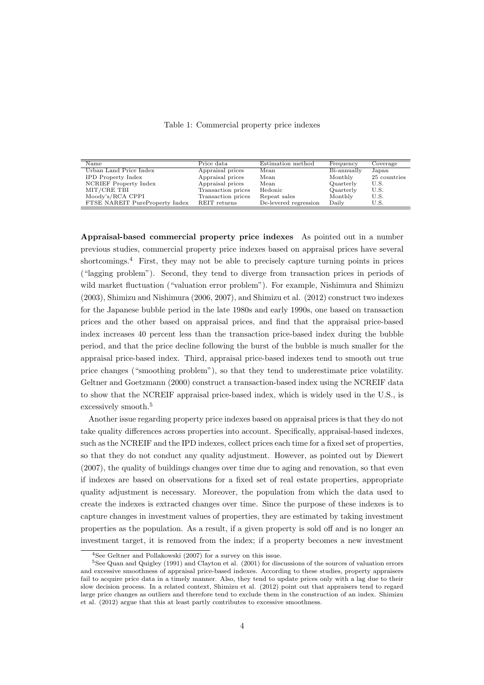| Name                           | Price data         | Estimation method     | Frequency   | Coverage     |
|--------------------------------|--------------------|-----------------------|-------------|--------------|
| Urban Land Price Index         | Appraisal prices   | Mean                  | Bi-annually | Japan        |
| <b>IPD</b> Property Index      | Appraisal prices   | Mean                  | Monthly     | 25 countries |
| NCRIEF Property Index          | Appraisal prices   | Mean                  | Quarterly   | U.S.         |
| MIT/CRE TBI                    | Transaction prices | Hedonic               | Quarterly   | U.S.         |
| Moody's/RCA CPPI               | Transaction prices | Repeat sales          | Monthly     | U.S.         |
| FTSE NAREIT PureProperty Index | REIT returns       | De-levered regression | Daily       | U.S.         |

Table 1: Commercial property price indexes

**Appraisal-based commercial property price indexes** As pointed out in a number previous studies, commercial property price indexes based on appraisal prices have several shortcomings.<sup>4</sup> First, they may not be able to precisely capture turning points in prices ("lagging problem"). Second, they tend to diverge from transaction prices in periods of wild market fluctuation ("valuation error problem"). For example, Nishimura and Shimizu (2003), Shimizu and Nishimura (2006, 2007), and Shimizu et al. (2012) construct two indexes for the Japanese bubble period in the late 1980s and early 1990s, one based on transaction prices and the other based on appraisal prices, and find that the appraisal price-based index increases 40 percent less than the transaction price-based index during the bubble period, and that the price decline following the burst of the bubble is much smaller for the appraisal price-based index. Third, appraisal price-based indexes tend to smooth out true price changes ("smoothing problem"), so that they tend to underestimate price volatility. Geltner and Goetzmann (2000) construct a transaction-based index using the NCREIF data to show that the NCREIF appraisal price-based index, which is widely used in the U.S., is excessively smooth.<sup>5</sup>

Another issue regarding property price indexes based on appraisal prices is that they do not take quality differences across properties into account. Specifically, appraisal-based indexes, such as the NCREIF and the IPD indexes, collect prices each time for a fixed set of properties, so that they do not conduct any quality adjustment. However, as pointed out by Diewert (2007), the quality of buildings changes over time due to aging and renovation, so that even if indexes are based on observations for a fixed set of real estate properties, appropriate quality adjustment is necessary. Moreover, the population from which the data used to create the indexes is extracted changes over time. Since the purpose of these indexes is to capture changes in investment values of properties, they are estimated by taking investment properties as the population. As a result, if a given property is sold off and is no longer an investment target, it is removed from the index; if a property becomes a new investment

<sup>4</sup>See Geltner and Pollakowski (2007) for a survey on this issue.

<sup>5</sup>See Quan and Quigley (1991) and Clayton et al. (2001) for discussions of the sources of valuation errors and excessive smoothness of appraisal price-based indexes. According to these studies, property appraisers fail to acquire price data in a timely manner. Also, they tend to update prices only with a lag due to their slow decision process. In a related context, Shimizu et al. (2012) point out that appraisers tend to regard large price changes as outliers and therefore tend to exclude them in the construction of an index. Shimizu et al. (2012) argue that this at least partly contributes to excessive smoothness.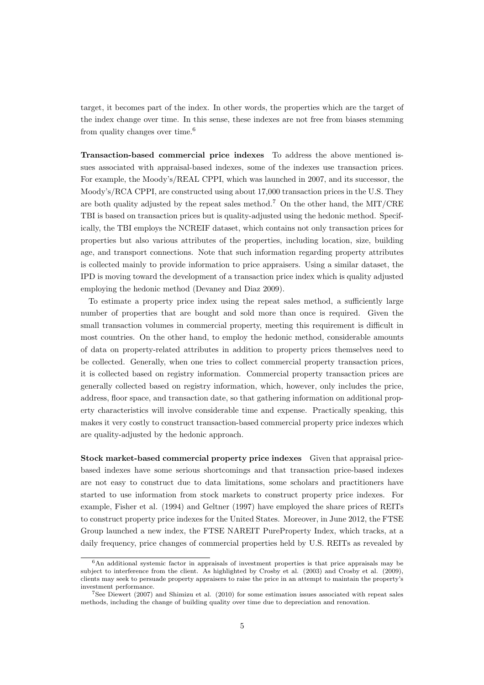target, it becomes part of the index. In other words, the properties which are the target of the index change over time. In this sense, these indexes are not free from biases stemming from quality changes over time.<sup>6</sup>

**Transaction-based commercial price indexes** To address the above mentioned issues associated with appraisal-based indexes, some of the indexes use transaction prices. For example, the Moody's/REAL CPPI, which was launched in 2007, and its successor, the Moody's/RCA CPPI, are constructed using about 17,000 transaction prices in the U.S. They are both quality adjusted by the repeat sales method.<sup>7</sup> On the other hand, the MIT/CRE TBI is based on transaction prices but is quality-adjusted using the hedonic method. Specifically, the TBI employs the NCREIF dataset, which contains not only transaction prices for properties but also various attributes of the properties, including location, size, building age, and transport connections. Note that such information regarding property attributes is collected mainly to provide information to price appraisers. Using a similar dataset, the IPD is moving toward the development of a transaction price index which is quality adjusted employing the hedonic method (Devaney and Diaz 2009).

To estimate a property price index using the repeat sales method, a sufficiently large number of properties that are bought and sold more than once is required. Given the small transaction volumes in commercial property, meeting this requirement is difficult in most countries. On the other hand, to employ the hedonic method, considerable amounts of data on property-related attributes in addition to property prices themselves need to be collected. Generally, when one tries to collect commercial property transaction prices, it is collected based on registry information. Commercial property transaction prices are generally collected based on registry information, which, however, only includes the price, address, floor space, and transaction date, so that gathering information on additional property characteristics will involve considerable time and expense. Practically speaking, this makes it very costly to construct transaction-based commercial property price indexes which are quality-adjusted by the hedonic approach.

**Stock market-based commercial property price indexes** Given that appraisal pricebased indexes have some serious shortcomings and that transaction price-based indexes are not easy to construct due to data limitations, some scholars and practitioners have started to use information from stock markets to construct property price indexes. For example, Fisher et al. (1994) and Geltner (1997) have employed the share prices of REITs to construct property price indexes for the United States. Moreover, in June 2012, the FTSE Group launched a new index, the FTSE NAREIT PureProperty Index, which tracks, at a daily frequency, price changes of commercial properties held by U.S. REITs as revealed by

 $6$ An additional systemic factor in appraisals of investment properties is that price appraisals may be subject to interference from the client. As highlighted by Crosby et al. (2003) and Crosby et al. (2009), clients may seek to persuade property appraisers to raise the price in an attempt to maintain the property's investment performance.

<sup>7</sup>See Diewert (2007) and Shimizu et al. (2010) for some estimation issues associated with repeat sales methods, including the change of building quality over time due to depreciation and renovation.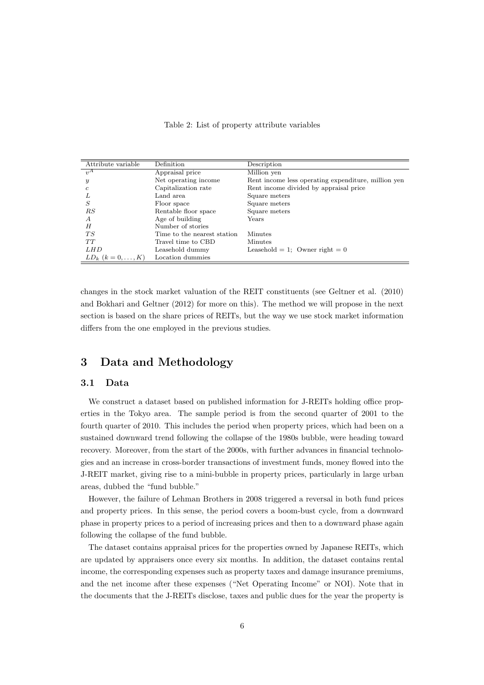| Attribute variable    | Definition                  | Description                                         |
|-----------------------|-----------------------------|-----------------------------------------------------|
| $\eta^A$              | Appraisal price             | Million yen                                         |
| $\boldsymbol{y}$      | Net operating income        | Rent income less operating expenditure, million yen |
| c                     | Capitalization rate         | Rent income divided by appraisal price              |
| L                     | Land area                   | Square meters                                       |
| S                     | Floor space                 | Square meters                                       |
| RS                    | Rentable floor space        | Square meters                                       |
| A                     | Age of building             | Years                                               |
| Η                     | Number of stories           |                                                     |
| TS                    | Time to the nearest station | Minutes                                             |
| TT                    | Travel time to CBD          | Minutes                                             |
| LH D                  | Leasehold dummy             | Leasehold = 1; Owner right = $0$                    |
| $LD_k$ $(k = 0, , K)$ | Location dummies            |                                                     |

#### Table 2: List of property attribute variables

changes in the stock market valuation of the REIT constituents (see Geltner et al. (2010) and Bokhari and Geltner (2012) for more on this). The method we will propose in the next section is based on the share prices of REITs, but the way we use stock market information differs from the one employed in the previous studies.

# **3 Data and Methodology**

### **3.1 Data**

We construct a dataset based on published information for J-REITs holding office properties in the Tokyo area. The sample period is from the second quarter of 2001 to the fourth quarter of 2010. This includes the period when property prices, which had been on a sustained downward trend following the collapse of the 1980s bubble, were heading toward recovery. Moreover, from the start of the 2000s, with further advances in financial technologies and an increase in cross-border transactions of investment funds, money flowed into the J-REIT market, giving rise to a mini-bubble in property prices, particularly in large urban areas, dubbed the "fund bubble."

However, the failure of Lehman Brothers in 2008 triggered a reversal in both fund prices and property prices. In this sense, the period covers a boom-bust cycle, from a downward phase in property prices to a period of increasing prices and then to a downward phase again following the collapse of the fund bubble.

The dataset contains appraisal prices for the properties owned by Japanese REITs, which are updated by appraisers once every six months. In addition, the dataset contains rental income, the corresponding expenses such as property taxes and damage insurance premiums, and the net income after these expenses ("Net Operating Income" or NOI). Note that in the documents that the J-REITs disclose, taxes and public dues for the year the property is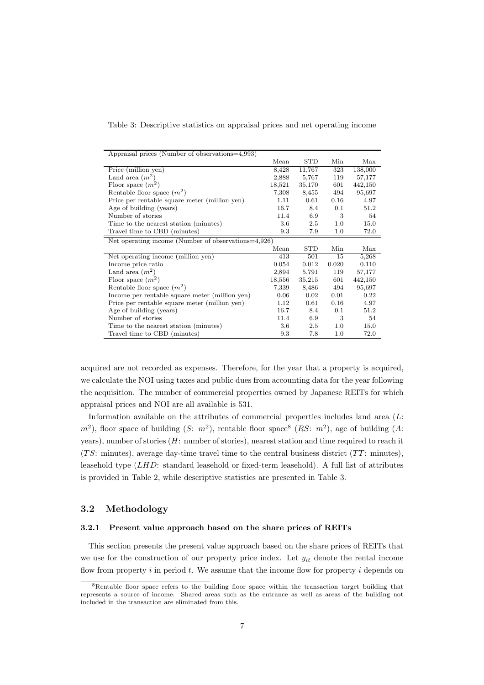Table 3: Descriptive statistics on appraisal prices and net operating income

| Appraisal prices (Number of observations=4,993)     |         |            |         |         |
|-----------------------------------------------------|---------|------------|---------|---------|
|                                                     | Mean    | <b>STD</b> | Min     | Max     |
| Price (million yen)                                 | 8,428   | 11,767     | 323     | 138,000 |
| Land area $(m^2)$                                   | 2,888   | 5,767      | 119     | 57,177  |
| Floor space $(m^2)$                                 | 18,521  | 35,170     | 601     | 442,150 |
| Rentable floor space $(m^2)$                        | 7,308   | 8,455      | 494     | 95,697  |
| Price per rentable square meter (million yen)       | 1.11    | 0.61       | 0.16    | 4.97    |
| Age of building (years)                             | 16.7    | 8.4        | 0.1     | 51.2    |
| Number of stories                                   | 11.4    | 6.9        | 3       | 54      |
| Time to the nearest station (minutes)               | 3.6     | 2.5        | 1.0     | 15.0    |
| Travel time to CBD (minutes)                        | 9.3     | 7.9        | $1.0\,$ | 72.0    |
| Net operating income (Number of observations=4,926) |         |            |         |         |
|                                                     | Mean    | <b>STD</b> | Min     | Max     |
| Net operating income (million yen)                  | 413     | 501        | 15      | 5,268   |
| Income price ratio                                  | 0.054   | 0.012      | 0.020   | 0.110   |
| Land area $(m^2)$                                   | 2,894   | 5,791      | 119     | 57,177  |
| Floor space $(m^2)$                                 | 18,556  | 35,215     | 601     | 442,150 |
| Rentable floor space $(m^2)$                        | 7,339   | 8,486      | 494     | 95,697  |
| Income per rentable square meter (million yen)      | 0.06    | 0.02       | 0.01    | 0.22    |
| Price per rentable square meter (million yen)       | 1.12    | 0.61       | 0.16    | 4.97    |
| Age of building (years)                             | 16.7    | 8.4        | 0.1     | 51.2    |
| Number of stories                                   | 11.4    | 6.9        | 3       | 54      |
| Time to the nearest station (minutes)               | $3.6\,$ | 2.5        | 1.0     | 15.0    |
| Travel time to CBD (minutes)                        | 9.3     | 7.8        | $1.0\,$ | 72.0    |

acquired are not recorded as expenses. Therefore, for the year that a property is acquired, we calculate the NOI using taxes and public dues from accounting data for the year following the acquisition. The number of commercial properties owned by Japanese REITs for which appraisal prices and NOI are all available is 531.

Information available on the attributes of commercial properties includes land area (*L*:  $m^2$ ), floor space of building (*S*:  $m^2$ ), rentable floor space<sup>8</sup> (*RS*:  $m^2$ ), age of building (*A*: years), number of stories (*H*: number of stories), nearest station and time required to reach it (*T S*: minutes), average day-time travel time to the central business district (*T T*: minutes), leasehold type (*LHD*: standard leasehold or fixed-term leasehold). A full list of attributes is provided in Table 2, while descriptive statistics are presented in Table 3.

#### **3.2 Methodology**

#### **3.2.1 Present value approach based on the share prices of REITs**

This section presents the present value approach based on the share prices of REITs that we use for the construction of our property price index. Let *yit* denote the rental income flow from property *i* in period *t*. We assume that the income flow for property *i* depends on

<sup>&</sup>lt;sup>8</sup>Rentable floor space refers to the building floor space within the transaction target building that represents a source of income. Shared areas such as the entrance as well as areas of the building not included in the transaction are eliminated from this.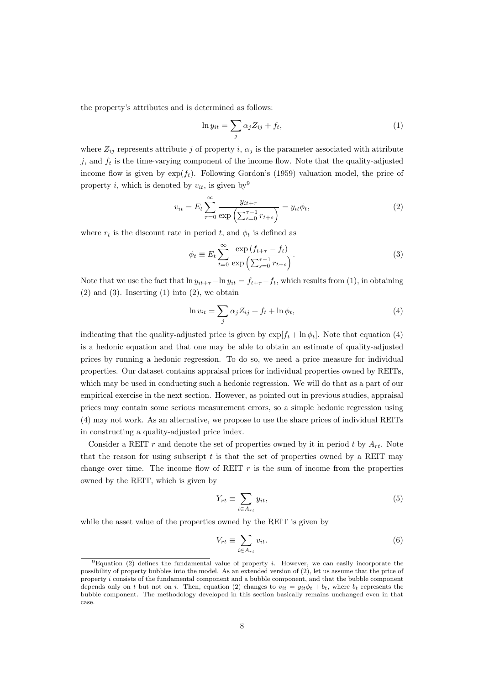the property's attributes and is determined as follows:

$$
\ln y_{it} = \sum_{j} \alpha_j Z_{ij} + f_t,\tag{1}
$$

where  $Z_{ij}$  represents attribute *j* of property *i*,  $\alpha_j$  is the parameter associated with attribute  $j$ , and  $f_t$  is the time-varying component of the income flow. Note that the quality-adjusted income flow is given by  $exp(f_t)$ . Following Gordon's (1959) valuation model, the price of property *i*, which is denoted by  $v_{it}$ , is given by<sup>9</sup>

$$
v_{it} = E_t \sum_{\tau=0}^{\infty} \frac{y_{it+\tau}}{\exp\left(\sum_{s=0}^{\tau-1} r_{t+s}\right)} = y_{it} \phi_t,
$$
 (2)

where  $r_t$  is the discount rate in period *t*, and  $\phi_t$  is defined as

$$
\phi_t \equiv E_t \sum_{t=0}^{\infty} \frac{\exp\left(f_{t+\tau} - f_t\right)}{\exp\left(\sum_{s=0}^{\tau-1} r_{t+s}\right)}.\tag{3}
$$

Note that we use the fact that  $\ln y_{it+\tau} - \ln y_{it} = f_{t+\tau} - f_t$ , which results from (1), in obtaining  $(2)$  and  $(3)$ . Inserting  $(1)$  into  $(2)$ , we obtain

$$
\ln v_{it} = \sum_{j} \alpha_j Z_{ij} + f_t + \ln \phi_t, \tag{4}
$$

indicating that the quality-adjusted price is given by  $\exp[f_t + \ln \phi_t]$ . Note that equation (4) is a hedonic equation and that one may be able to obtain an estimate of quality-adjusted prices by running a hedonic regression. To do so, we need a price measure for individual properties. Our dataset contains appraisal prices for individual properties owned by REITs, which may be used in conducting such a hedonic regression. We will do that as a part of our empirical exercise in the next section. However, as pointed out in previous studies, appraisal prices may contain some serious measurement errors, so a simple hedonic regression using (4) may not work. As an alternative, we propose to use the share prices of individual REITs in constructing a quality-adjusted price index.

Consider a REIT  $r$  and denote the set of properties owned by it in period  $t$  by  $A_{rt}$ . Note that the reason for using subscript *t* is that the set of properties owned by a REIT may change over time. The income flow of REIT  $r$  is the sum of income from the properties owned by the REIT, which is given by

$$
Y_{rt} \equiv \sum_{i \in A_{rt}} y_{it},\tag{5}
$$

while the asset value of the properties owned by the REIT is given by

$$
V_{rt} \equiv \sum_{i \in A_{rt}} v_{it}.
$$
\n(6)

 $9E$ quation (2) defines the fundamental value of property *i*. However, we can easily incorporate the possibility of property bubbles into the model. As an extended version of (2), let us assume that the price of property *i* consists of the fundamental component and a bubble component, and that the bubble component depends only on *t* but not on *i*. Then, equation (2) changes to  $v_{it} = y_{it}\phi_t + b_t$ , where  $b_t$  represents the bubble component. The methodology developed in this section basically remains unchanged even in that case.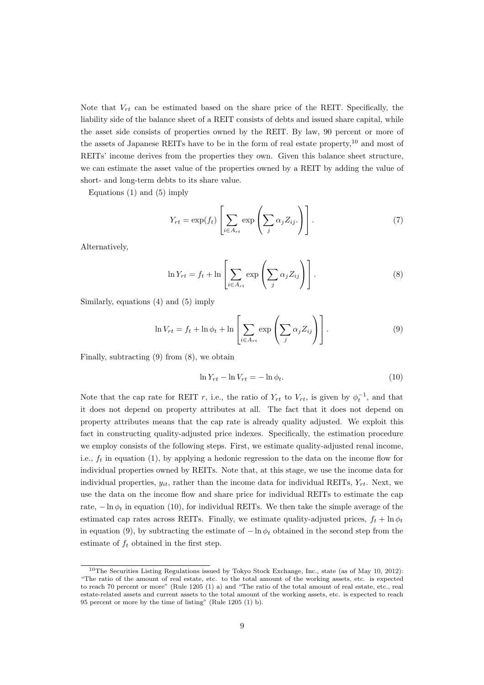Note that  $V_{rt}$  can be estimated based on the share price of the REIT. Specifically, the liability side of the balance sheet of a REIT consists of debts and issued share capital, while the asset side consists of properties owned by the REIT. By law, 90 percent or more of the assets of Japanese REITs have to be in the form of real estate property,<sup>10</sup> and most of REITs' income derives from the properties they own. Given this balance sheet structure, we can estimate the asset value of the properties owned by a REIT by adding the value of short- and long-term debts to its share value.

Equations (1) and (5) imply

$$
Y_{rt} = \exp(f_t) \left[ \sum_{i \in A_{rt}} \exp \left( \sum_j \alpha_j Z_{ij} \right) \right]. \tag{7}
$$

Alternatively,

$$
\ln Y_{rt} = f_t + \ln \left[ \sum_{i \in A_{rt}} \exp \left( \sum_j \alpha_j Z_{ij} \right) \right]. \tag{8}
$$

Similarly, equations (4) and (5) imply

$$
\ln V_{rt} = f_t + \ln \phi_t + \ln \left[ \sum_{i \in A_{rt}} \exp \left( \sum_j \alpha_j Z_{ij} \right) \right]. \tag{9}
$$

Finally, subtracting (9) from (8), we obtain

$$
\ln Y_{rt} - \ln V_{rt} = -\ln \phi_t. \tag{10}
$$

Note that the cap rate for REIT *r*, i.e., the ratio of  $Y_{rt}$  to  $V_{rt}$ , is given by  $\phi_t^{-1}$ , and that it does not depend on property attributes at all. The fact that it does not depend on property attributes means that the cap rate is already quality adjusted. We exploit this fact in constructing quality-adjusted price indexes. Specifically, the estimation procedure we employ consists of the following steps. First, we estimate quality-adjusted renal income, i.e.,  $f_t$  in equation (1), by applying a hedonic regression to the data on the income flow for individual properties owned by REITs. Note that, at this stage, we use the income data for individual properties,  $y_{it}$ , rather than the income data for individual REITs,  $Y_{rt}$ . Next, we use the data on the income flow and share price for individual REITs to estimate the cap rate, *−* ln *φ<sup>t</sup>* in equation (10), for individual REITs. We then take the simple average of the estimated cap rates across REITs. Finally, we estimate quality-adjusted prices,  $f_t + \ln \phi_t$ in equation (9), by subtracting the estimate of  $-\ln \phi_t$  obtained in the second step from the estimate of  $f_t$  obtained in the first step.

<sup>&</sup>lt;sup>10</sup>The Securities Listing Regulations issued by Tokyo Stock Exchange, Inc., state (as of May 10, 2012): "The ratio of the amount of real estate, etc. to the total amount of the working assets, etc. is expected to reach 70 percent or more" (Rule 1205 (1) a) and "The ratio of the total amount of real estate, etc., real estate-related assets and current assets to the total amount of the working assets, etc. is expected to reach 95 percent or more by the time of listing" (Rule 1205 (1) b).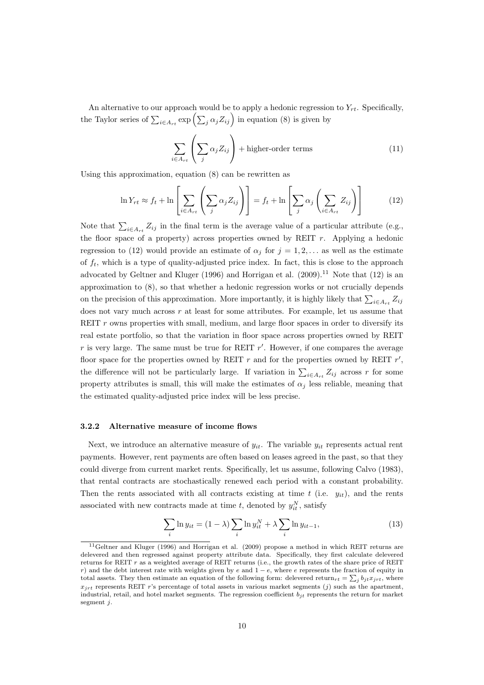An alternative to our approach would be to apply a hedonic regression to  $Y_{rt}$ . Specifically, the Taylor series of  $\sum_{i \in A_{rt}} \exp\left(\sum_{j} \alpha_j Z_{ij}\right)$  in equation (8) is given by

$$
\sum_{i \in A_{rt}} \left( \sum_{j} \alpha_j Z_{ij} \right) + \text{higher-order terms} \tag{11}
$$

Using this approximation, equation (8) can be rewritten as

$$
\ln Y_{rt} \approx f_t + \ln \left[ \sum_{i \in A_{rt}} \left( \sum_j \alpha_j Z_{ij} \right) \right] = f_t + \ln \left[ \sum_j \alpha_j \left( \sum_{i \in A_{rt}} Z_{ij} \right) \right]
$$
(12)

Note that  $\sum_{i \in A_{rt}} Z_{ij}$  in the final term is the average value of a particular attribute (e.g., the floor space of a property) across properties owned by REIT *r*. Applying a hedonic regression to (12) would provide an estimate of  $\alpha_j$  for  $j = 1, 2, \ldots$  as well as the estimate of  $f_t$ , which is a type of quality-adjusted price index. In fact, this is close to the approach advocated by Geltner and Kluger (1996) and Horrigan et al.  $(2009).<sup>11</sup>$  Note that  $(12)$  is an approximation to (8), so that whether a hedonic regression works or not crucially depends on the precision of this approximation. More importantly, it is highly likely that  $\sum_{i \in A_{rt}} Z_{ij}$ does not vary much across *r* at least for some attributes. For example, let us assume that REIT *r* owns properties with small, medium, and large floor spaces in order to diversify its real estate portfolio, so that the variation in floor space across properties owned by REIT *r* is very large. The same must be true for REIT *r ′* . However, if one compares the average floor space for the properties owned by REIT  $r$  and for the properties owned by REIT  $r'$ , the difference will not be particularly large. If variation in  $\sum_{i \in A_{rt}} Z_{ij}$  across *r* for some property attributes is small, this will make the estimates of  $\alpha_j$  less reliable, meaning that the estimated quality-adjusted price index will be less precise.

#### **3.2.2 Alternative measure of income flows**

Next, we introduce an alternative measure of  $y_{it}$ . The variable  $y_{it}$  represents actual rent payments. However, rent payments are often based on leases agreed in the past, so that they could diverge from current market rents. Specifically, let us assume, following Calvo (1983), that rental contracts are stochastically renewed each period with a constant probability. Then the rents associated with all contracts existing at time  $t$  (i.e.  $y_{it}$ ), and the rents associated with new contracts made at time  $t$ , denoted by  $y_{it}^N$ , satisfy

$$
\sum_{i} \ln y_{it} = (1 - \lambda) \sum_{i} \ln y_{it}^{N} + \lambda \sum_{i} \ln y_{it-1},
$$
\n(13)

<sup>11</sup>Geltner and Kluger (1996) and Horrigan et al. (2009) propose a method in which REIT returns are delevered and then regressed against property attribute data. Specifically, they first calculate delevered returns for REIT *r* as a weighted average of REIT returns (i.e., the growth rates of the share price of REIT *r*) and the debt interest rate with weights given by *e* and 1 − *e*, where *e* represents the fraction of equity in total assets. They then estimate an equation of the following form: delevered return<sub>rt</sub> =  $\sum_j b_{jt}x_{jrt}$ , where  $x_{irt}$  represents REIT *r*'s percentage of total assets in various market segments (*j*) such as the apartment, industrial, retail, and hotel market segments. The regression coefficient *bjt* represents the return for market segment *j*.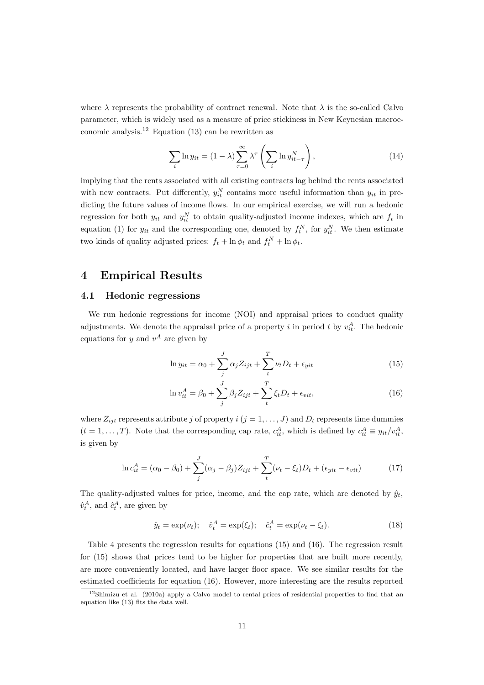where  $\lambda$  represents the probability of contract renewal. Note that  $\lambda$  is the so-called Calvo parameter, which is widely used as a measure of price stickiness in New Keynesian macroeconomic analysis.<sup>12</sup> Equation (13) can be rewritten as

$$
\sum_{i} \ln y_{it} = (1 - \lambda) \sum_{\tau=0}^{\infty} \lambda^{\tau} \left( \sum_{i} \ln y_{it-\tau}^{N} \right), \qquad (14)
$$

implying that the rents associated with all existing contracts lag behind the rents associated with new contracts. Put differently,  $y_{it}^N$  contains more useful information than  $y_{it}$  in predicting the future values of income flows. In our empirical exercise, we will run a hedonic regression for both  $y_{it}$  and  $y_{it}^N$  to obtain quality-adjusted income indexes, which are  $f_t$  in equation (1) for  $y_{it}$  and the corresponding one, denoted by  $f_t^N$ , for  $y_{it}^N$ . We then estimate two kinds of quality adjusted prices:  $f_t + \ln \phi_t$  and  $f_t^N + \ln \phi_t$ .

# **4 Empirical Results**

#### **4.1 Hedonic regressions**

We run hedonic regressions for income (NOI) and appraisal prices to conduct quality adjustments. We denote the appraisal price of a property *i* in period *t* by  $v_{it}^A$ . The hedonic equations for  $y$  and  $v^A$  are given by

$$
\ln y_{it} = \alpha_0 + \sum_{j}^{J} \alpha_j Z_{ijt} + \sum_{t}^{T} \nu_t D_t + \epsilon_{yit}
$$
\n(15)

$$
\ln v_{it}^A = \beta_0 + \sum_j^J \beta_j Z_{ijt} + \sum_t^T \xi_t D_t + \epsilon_{vit}, \qquad (16)
$$

where  $Z_{ijt}$  represents attribute *j* of property *i* ( $j = 1, \ldots, J$ ) and  $D_t$  represents time dummies  $(t = 1, \ldots, T)$ . Note that the corresponding cap rate,  $c_{it}^A$ , which is defined by  $c_{it}^A \equiv y_{it}/v_{it}^A$ , is given by

$$
\ln c_{it}^A = (\alpha_0 - \beta_0) + \sum_{j}^{J} (\alpha_j - \beta_j) Z_{ijt} + \sum_{t}^{T} (\nu_t - \xi_t) D_t + (\epsilon_{yit} - \epsilon_{vit})
$$
(17)

The quality-adjusted values for price, income, and the cap rate, which are denoted by  $\hat{y}_t$ ,  $\hat{v}_t^A$ , and  $\hat{c}_t^A$ , are given by

$$
\hat{y}_t = \exp(\nu_t); \quad \hat{v}_t^A = \exp(\xi_t); \quad \hat{c}_t^A = \exp(\nu_t - \xi_t). \tag{18}
$$

Table 4 presents the regression results for equations (15) and (16). The regression result for (15) shows that prices tend to be higher for properties that are built more recently, are more conveniently located, and have larger floor space. We see similar results for the estimated coefficients for equation (16). However, more interesting are the results reported

 $12$ Shimizu et al. (2010a) apply a Calvo model to rental prices of residential properties to find that an equation like (13) fits the data well.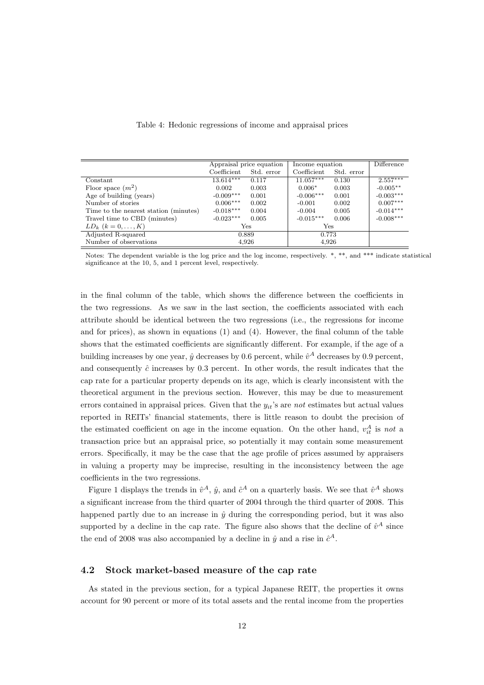|                                       | Appraisal price equation |            | Income equation |            | <b>Difference</b> |
|---------------------------------------|--------------------------|------------|-----------------|------------|-------------------|
|                                       | Coefficient              | Std. error | Coefficient     | Std. error |                   |
| Constant                              | $13.614***$              | 0.117      | $11.057***$     | 0.130      | $2.557***$        |
| Floor space $(m^2)$                   | 0.002                    | 0.003      | $0.006*$        | 0.003      | $-0.005**$        |
| Age of building (years)               | $-0.009***$              | 0.001      | $-0.006***$     | 0.001      | $-0.003***$       |
| Number of stories                     | $0.006***$               | 0.002      | $-0.001$        | 0.002      | $0.007***$        |
| Time to the nearest station (minutes) | $-0.018***$              | 0.004      | $-0.004$        | 0.005      | $-0.014***$       |
| Travel time to CBD (minutes)          | $-0.023***$              | 0.005      | $-0.015***$     | 0.006      | $-0.008***$       |
| $LD_k$ $(k = 0, , K)$                 |                          | Yes        | <b>Yes</b>      |            |                   |
| Adjusted R-squared                    |                          | 0.889      | 0.773           |            |                   |
| Number of observations                |                          | 4,926      | 4,926           |            |                   |
|                                       |                          |            |                 |            |                   |

#### Table 4: Hedonic regressions of income and appraisal prices

Notes: The dependent variable is the log price and the log income, respectively. \*, \*\*, and \*\*\* indicate statistical significance at the 10, 5, and 1 percent level, respectively.

in the final column of the table, which shows the difference between the coefficients in the two regressions. As we saw in the last section, the coefficients associated with each attribute should be identical between the two regressions (i.e., the regressions for income and for prices), as shown in equations (1) and (4). However, the final column of the table shows that the estimated coefficients are significantly different. For example, if the age of a building increases by one year,  $\hat{y}$  decreases by 0.6 percent, while  $\hat{v}^A$  decreases by 0.9 percent, and consequently  $\hat{c}$  increases by 0.3 percent. In other words, the result indicates that the cap rate for a particular property depends on its age, which is clearly inconsistent with the theoretical argument in the previous section. However, this may be due to measurement errors contained in appraisal prices. Given that the *yit*'s are *not* estimates but actual values reported in REITs' financial statements, there is little reason to doubt the precision of the estimated coefficient on age in the income equation. On the other hand,  $v_{it}^A$  is not a transaction price but an appraisal price, so potentially it may contain some measurement errors. Specifically, it may be the case that the age profile of prices assumed by appraisers in valuing a property may be imprecise, resulting in the inconsistency between the age coefficients in the two regressions.

Figure 1 displays the trends in  $\hat{v}^A$ ,  $\hat{y}$ , and  $\hat{c}^A$  on a quarterly basis. We see that  $\hat{v}^A$  shows a significant increase from the third quarter of 2004 through the third quarter of 2008. This happened partly due to an increase in  $\hat{y}$  during the corresponding period, but it was also supported by a decline in the cap rate. The figure also shows that the decline of  $\hat{v}^A$  since the end of 2008 was also accompanied by a decline in  $\hat{y}$  and a rise in  $\hat{c}^A$ .

#### **4.2 Stock market-based measure of the cap rate**

As stated in the previous section, for a typical Japanese REIT, the properties it owns account for 90 percent or more of its total assets and the rental income from the properties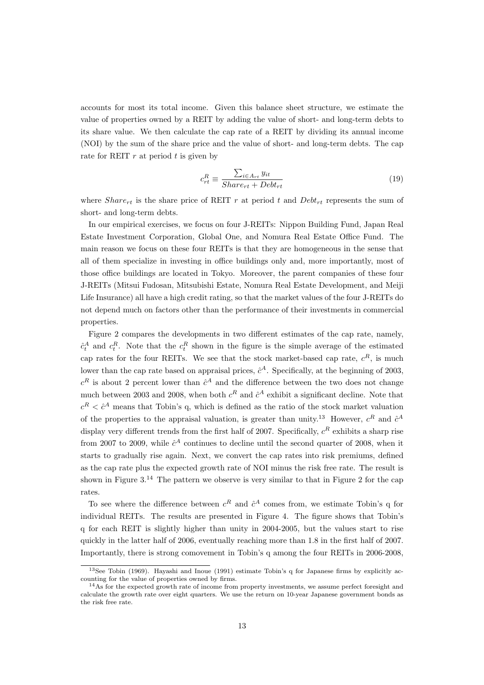accounts for most its total income. Given this balance sheet structure, we estimate the value of properties owned by a REIT by adding the value of short- and long-term debts to its share value. We then calculate the cap rate of a REIT by dividing its annual income (NOI) by the sum of the share price and the value of short- and long-term debts. The cap rate for REIT *r* at period *t* is given by

$$
c_{rt}^R \equiv \frac{\sum_{i \in A_{rt}} y_{it}}{Share_{rt} + Debt_{rt}} \tag{19}
$$

where  $Share_{rt}$  is the share price of REIT  $r$  at period  $t$  and  $Debt_{rt}$  represents the sum of short- and long-term debts.

In our empirical exercises, we focus on four J-REITs: Nippon Building Fund, Japan Real Estate Investment Corporation, Global One, and Nomura Real Estate Office Fund. The main reason we focus on these four REITs is that they are homogeneous in the sense that all of them specialize in investing in office buildings only and, more importantly, most of those office buildings are located in Tokyo. Moreover, the parent companies of these four J-REITs (Mitsui Fudosan, Mitsubishi Estate, Nomura Real Estate Development, and Meiji Life Insurance) all have a high credit rating, so that the market values of the four J-REITs do not depend much on factors other than the performance of their investments in commercial properties.

Figure 2 compares the developments in two different estimates of the cap rate, namely,  $\hat{c}^A_t$  and  $c^R_t$ . Note that the  $c^R_t$  shown in the figure is the simple average of the estimated cap rates for the four REITs. We see that the stock market-based cap rate,  $c^R$ , is much lower than the cap rate based on appraisal prices,  $\hat{c}^A$ . Specifically, at the beginning of 2003,  $c<sup>R</sup>$  is about 2 percent lower than  $\hat{c}^A$  and the difference between the two does not change much between 2003 and 2008, when both  $c^R$  and  $\hat{c}^A$  exhibit a significant decline. Note that  $c^R < \hat{c}^A$  means that Tobin's q, which is defined as the ratio of the stock market valuation of the properties to the appraisal valuation, is greater than unity.<sup>13</sup> However,  $c^R$  and  $\hat{c}^A$ display very different trends from the first half of 2007. Specifically,  $c^R$  exhibits a sharp rise from 2007 to 2009, while  $\hat{c}^A$  continues to decline until the second quarter of 2008, when it starts to gradually rise again. Next, we convert the cap rates into risk premiums, defined as the cap rate plus the expected growth rate of NOI minus the risk free rate. The result is shown in Figure  $3^{14}$  The pattern we observe is very similar to that in Figure 2 for the cap rates.

To see where the difference between  $c^R$  and  $\hat{c}^A$  comes from, we estimate Tobin's q for individual REITs. The results are presented in Figure 4. The figure shows that Tobin's q for each REIT is slightly higher than unity in 2004-2005, but the values start to rise quickly in the latter half of 2006, eventually reaching more than 1.8 in the first half of 2007. Importantly, there is strong comovement in Tobin's q among the four REITs in 2006-2008,

<sup>&</sup>lt;sup>13</sup>See Tobin (1969). Hayashi and Inoue (1991) estimate Tobin's q for Japanese firms by explicitly accounting for the value of properties owned by firms.

 $14$ As for the expected growth rate of income from property investments, we assume perfect foresight and calculate the growth rate over eight quarters. We use the return on 10-year Japanese government bonds as the risk free rate.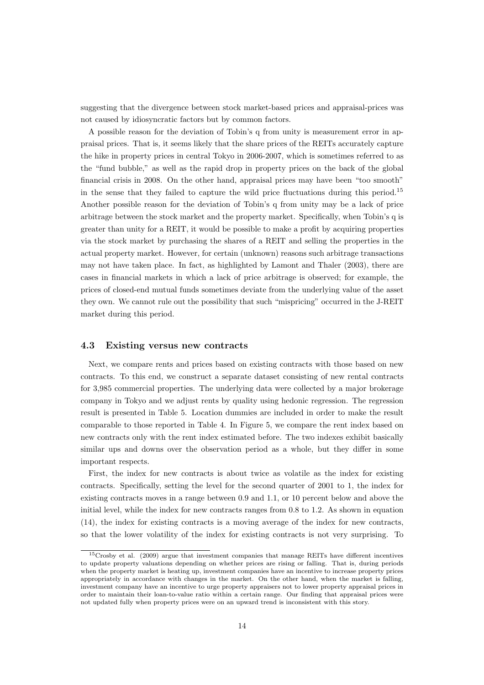suggesting that the divergence between stock market-based prices and appraisal-prices was not caused by idiosyncratic factors but by common factors.

A possible reason for the deviation of Tobin's q from unity is measurement error in appraisal prices. That is, it seems likely that the share prices of the REITs accurately capture the hike in property prices in central Tokyo in 2006-2007, which is sometimes referred to as the "fund bubble," as well as the rapid drop in property prices on the back of the global financial crisis in 2008. On the other hand, appraisal prices may have been "too smooth" in the sense that they failed to capture the wild price fluctuations during this period.<sup>15</sup> Another possible reason for the deviation of Tobin's q from unity may be a lack of price arbitrage between the stock market and the property market. Specifically, when Tobin's q is greater than unity for a REIT, it would be possible to make a profit by acquiring properties via the stock market by purchasing the shares of a REIT and selling the properties in the actual property market. However, for certain (unknown) reasons such arbitrage transactions may not have taken place. In fact, as highlighted by Lamont and Thaler (2003), there are cases in financial markets in which a lack of price arbitrage is observed; for example, the prices of closed-end mutual funds sometimes deviate from the underlying value of the asset they own. We cannot rule out the possibility that such "mispricing" occurred in the J-REIT market during this period.

#### **4.3 Existing versus new contracts**

Next, we compare rents and prices based on existing contracts with those based on new contracts. To this end, we construct a separate dataset consisting of new rental contracts for 3,985 commercial properties. The underlying data were collected by a major brokerage company in Tokyo and we adjust rents by quality using hedonic regression. The regression result is presented in Table 5. Location dummies are included in order to make the result comparable to those reported in Table 4. In Figure 5, we compare the rent index based on new contracts only with the rent index estimated before. The two indexes exhibit basically similar ups and downs over the observation period as a whole, but they differ in some important respects.

First, the index for new contracts is about twice as volatile as the index for existing contracts. Specifically, setting the level for the second quarter of 2001 to 1, the index for existing contracts moves in a range between 0.9 and 1.1, or 10 percent below and above the initial level, while the index for new contracts ranges from 0.8 to 1.2. As shown in equation (14), the index for existing contracts is a moving average of the index for new contracts, so that the lower volatility of the index for existing contracts is not very surprising. To

<sup>15</sup>Crosby et al. (2009) argue that investment companies that manage REITs have different incentives to update property valuations depending on whether prices are rising or falling. That is, during periods when the property market is heating up, investment companies have an incentive to increase property prices appropriately in accordance with changes in the market. On the other hand, when the market is falling, investment company have an incentive to urge property appraisers not to lower property appraisal prices in order to maintain their loan-to-value ratio within a certain range. Our finding that appraisal prices were not updated fully when property prices were on an upward trend is inconsistent with this story.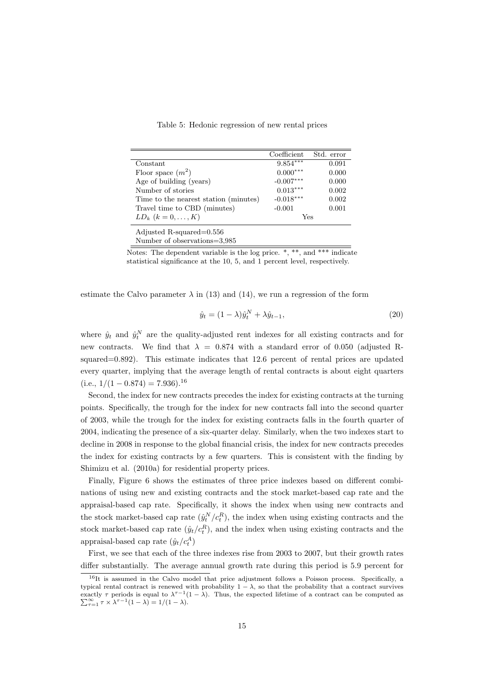Table 5: Hedonic regression of new rental prices

|                                       | Coefficient | Std. error |
|---------------------------------------|-------------|------------|
| Constant                              | $9.854***$  | 0.091      |
| Floor space $(m^2)$                   | $0.000***$  | 0.000      |
| Age of building (years)               | $-0.007***$ | 0.000      |
| Number of stories                     | $0.013***$  | 0.002      |
| Time to the nearest station (minutes) | $-0.018***$ | 0.002      |
| Travel time to CBD (minutes)          | $-0.001$    | 0.001      |
| $LD_k$ $(k = 0, , K)$                 | Yes         |            |
| Adjusted R-squared=0.556              |             |            |
| Number of observations=3,985          |             |            |

Notes: The dependent variable is the log price.  $*,$  \*\*, and \*\*\* indicate statistical significance at the 10, 5, and 1 percent level, respectively.

estimate the Calvo parameter  $\lambda$  in (13) and (14), we run a regression of the form

$$
\hat{y}_t = (1 - \lambda)\hat{y}_t^N + \lambda \hat{y}_{t-1},\tag{20}
$$

where  $\hat{y}_t$  and  $\hat{y}_t^N$  are the quality-adjusted rent indexes for all existing contracts and for new contracts. We find that  $\lambda = 0.874$  with a standard error of 0.050 (adjusted Rsquared=0.892). This estimate indicates that 12.6 percent of rental prices are updated every quarter, implying that the average length of rental contracts is about eight quarters  $(i.e., \frac{1}{1 - 0.874} = 7.936$ .<sup>16</sup>

Second, the index for new contracts precedes the index for existing contracts at the turning points. Specifically, the trough for the index for new contracts fall into the second quarter of 2003, while the trough for the index for existing contracts falls in the fourth quarter of 2004, indicating the presence of a six-quarter delay. Similarly, when the two indexes start to decline in 2008 in response to the global financial crisis, the index for new contracts precedes the index for existing contracts by a few quarters. This is consistent with the finding by Shimizu et al. (2010a) for residential property prices.

Finally, Figure 6 shows the estimates of three price indexes based on different combinations of using new and existing contracts and the stock market-based cap rate and the appraisal-based cap rate. Specifically, it shows the index when using new contracts and the stock market-based cap rate  $(\hat{y}_t^N/c_t^R)$ , the index when using existing contracts and the stock market-based cap rate  $(\hat{y}_t/c_t^R)$ , and the index when using existing contracts and the appraisal-based cap rate  $(\hat{y}_t/c_t^A)$ 

First, we see that each of the three indexes rise from 2003 to 2007, but their growth rates differ substantially. The average annual growth rate during this period is 5.9 percent for

<sup>&</sup>lt;sup>16</sup>It is assumed in the Calvo model that price adjustment follows a Poisson process. Specifically, a typical rental contract is renewed with probability  $1 - \lambda$ , so that the probability that a contract survives typical rental contract is renewed with probability  $1 - \lambda$ , so that the probability that a contract survives exactly *τ* periods is equal to  $\lambda^{\tau-1}(1 - \lambda)$ . Thus, the expected lifetime of a contract can be computed as exactly  $\tau$  periods is equal to  $\lambda^{\tau-1}(1-\lambda)$ . Thus, the expected lifetime of a contract can be computed as  $\sum_{\tau=1}^{\infty} \tau \times \lambda^{\tau-1}(1-\lambda) = 1/(1-\lambda)$ .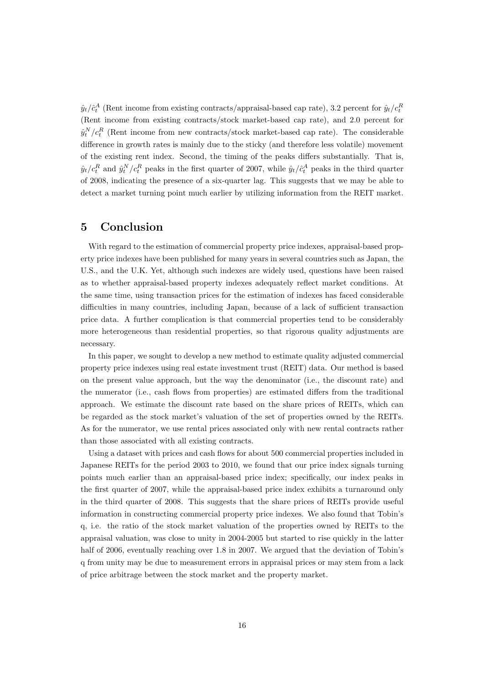$\hat{y}_t / \hat{c}_t^A$  (Rent income from existing contracts/appraisal-based cap rate), 3.2 percent for  $\hat{y}_t / c_t^R$ (Rent income from existing contracts/stock market-based cap rate), and 2.0 percent for  $\hat{y}^N_t/c_t^R$  (Rent income from new contracts/stock market-based cap rate). The considerable difference in growth rates is mainly due to the sticky (and therefore less volatile) movement of the existing rent index. Second, the timing of the peaks differs substantially. That is,  $\hat{y}_t / c_t^R$  and  $\hat{y}_t^N / c_t^R$  peaks in the first quarter of 2007, while  $\hat{y}_t / \hat{c}_t^A$  peaks in the third quarter of 2008, indicating the presence of a six-quarter lag. This suggests that we may be able to detect a market turning point much earlier by utilizing information from the REIT market.

# **5 Conclusion**

With regard to the estimation of commercial property price indexes, appraisal-based property price indexes have been published for many years in several countries such as Japan, the U.S., and the U.K. Yet, although such indexes are widely used, questions have been raised as to whether appraisal-based property indexes adequately reflect market conditions. At the same time, using transaction prices for the estimation of indexes has faced considerable difficulties in many countries, including Japan, because of a lack of sufficient transaction price data. A further complication is that commercial properties tend to be considerably more heterogeneous than residential properties, so that rigorous quality adjustments are necessary.

In this paper, we sought to develop a new method to estimate quality adjusted commercial property price indexes using real estate investment trust (REIT) data. Our method is based on the present value approach, but the way the denominator (i.e., the discount rate) and the numerator (i.e., cash flows from properties) are estimated differs from the traditional approach. We estimate the discount rate based on the share prices of REITs, which can be regarded as the stock market's valuation of the set of properties owned by the REITs. As for the numerator, we use rental prices associated only with new rental contracts rather than those associated with all existing contracts.

Using a dataset with prices and cash flows for about 500 commercial properties included in Japanese REITs for the period 2003 to 2010, we found that our price index signals turning points much earlier than an appraisal-based price index; specifically, our index peaks in the first quarter of 2007, while the appraisal-based price index exhibits a turnaround only in the third quarter of 2008. This suggests that the share prices of REITs provide useful information in constructing commercial property price indexes. We also found that Tobin's q, i.e. the ratio of the stock market valuation of the properties owned by REITs to the appraisal valuation, was close to unity in 2004-2005 but started to rise quickly in the latter half of 2006, eventually reaching over 1.8 in 2007. We argued that the deviation of Tobin's q from unity may be due to measurement errors in appraisal prices or may stem from a lack of price arbitrage between the stock market and the property market.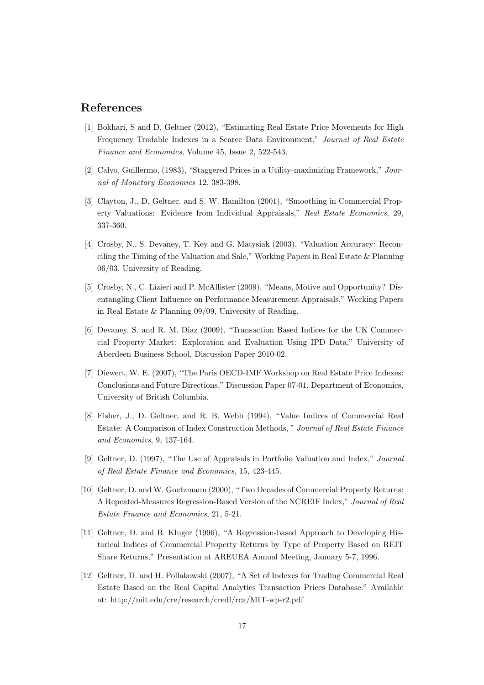## **References**

- [1] Bokhari, S and D. Geltner (2012), "Estimating Real Estate Price Movements for High Frequency Tradable Indexes in a Scarce Data Environment," *Journal of Real Estate Finance and Economics*, Volume 45, Issue 2, 522-543.
- [2] Calvo, Guillermo, (1983), "Staggered Prices in a Utility-maximizing Framework," *Journal of Monetary Economics* 12, 383-398.
- [3] Clayton, J., D. Geltner. and S. W. Hamilton (2001), "Smoothing in Commercial Property Valuations: Evidence from Individual Appraisals," *Real Estate Economics*, 29, 337-360.
- [4] Crosby, N., S. Devaney, T. Key and G. Matysiak (2003), "Valuation Accuracy: Reconciling the Timing of the Valuation and Sale," Working Papers in Real Estate & Planning 06/03, University of Reading.
- [5] Crosby, N., C. Lizieri and P. McAllister (2009), "Means, Motive and Opportunity? Disentangling Client Influence on Performance Measurement Appraisals," Working Papers in Real Estate & Planning 09/09, University of Reading.
- [6] Devaney, S. and R. M. Diaz (2009), "Transaction Based Indices for the UK Commercial Property Market: Exploration and Evaluation Using IPD Data," University of Aberdeen Business School, Discussion Paper 2010-02.
- [7] Diewert, W. E. (2007), "The Paris OECD-IMF Workshop on Real Estate Price Indexes: Conclusions and Future Directions," Discussion Paper 07-01, Department of Economics, University of British Columbia.
- [8] Fisher, J., D. Geltner, and R. B. Webb (1994), "Value Indices of Commercial Real Estate: A Comparison of Index Construction Methods, " *Journal of Real Estate Finance and Economics*, 9, 137-164.
- [9] Geltner, D. (1997), "The Use of Appraisals in Portfolio Valuation and Index," *Journal of Real Estate Finance and Economics*, 15, 423-445.
- [10] Geltner, D. and W. Goetzmann (2000), "Two Decades of Commercial Property Returns: A Repeated-Measures Regression-Based Version of the NCREIF Index," *Journal of Real Estate Finance and Economics*, 21, 5-21.
- [11] Geltner, D. and B. Kluger (1996), "A Regression-based Approach to Developing Historical Indices of Commercial Property Returns by Type of Property Based on REIT Share Returns," Presentation at AREUEA Annual Meeting, January 5-7, 1996.
- [12] Geltner, D. and H. Pollakowski (2007), "A Set of Indexes for Trading Commercial Real Estate Based on the Real Capital Analytics Transaction Prices Database." Available at: http://mit.edu/cre/research/credl/rca/MIT-wp-r2.pdf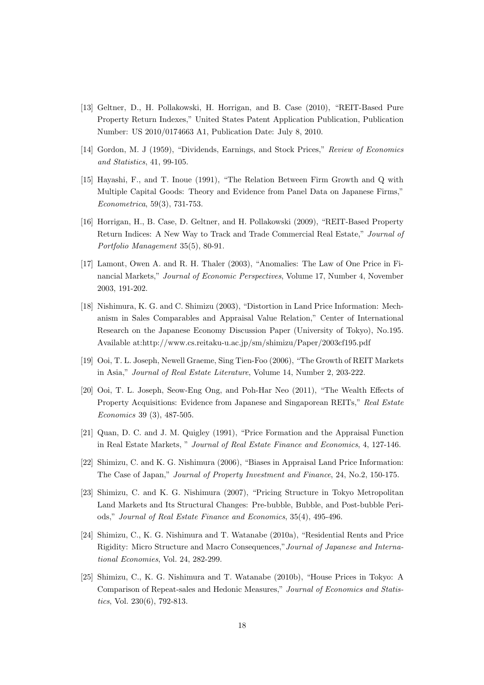- [13] Geltner, D., H. Pollakowski, H. Horrigan, and B. Case (2010), "REIT-Based Pure Property Return Indexes," United States Patent Application Publication, Publication Number: US 2010/0174663 A1, Publication Date: July 8, 2010.
- [14] Gordon, M. J (1959), "Dividends, Earnings, and Stock Prices," *Review of Economics and Statistics*, 41, 99-105.
- [15] Hayashi, F., and T. Inoue (1991), "The Relation Between Firm Growth and Q with Multiple Capital Goods: Theory and Evidence from Panel Data on Japanese Firms," *Econometrica*, 59(3), 731-753.
- [16] Horrigan, H., B. Case, D. Geltner, and H. Pollakowski (2009), "REIT-Based Property Return Indices: A New Way to Track and Trade Commercial Real Estate," *Journal of Portfolio Management* 35(5), 80-91.
- [17] Lamont, Owen A. and R. H. Thaler (2003), "Anomalies: The Law of One Price in Financial Markets," *Journal of Economic Perspectives*, Volume 17, Number 4, November 2003, 191-202.
- [18] Nishimura, K. G. and C. Shimizu (2003), "Distortion in Land Price Information: Mechanism in Sales Comparables and Appraisal Value Relation," Center of International Research on the Japanese Economy Discussion Paper (University of Tokyo), No.195. Available at:http://www.cs.reitaku-u.ac.jp/sm/shimizu/Paper/2003cf195.pdf
- [19] Ooi, T. L. Joseph, Newell Graeme, Sing Tien-Foo (2006), "The Growth of REIT Markets in Asia," *Journal of Real Estate Literature*, Volume 14, Number 2, 203-222.
- [20] Ooi, T. L. Joseph, Seow-Eng Ong, and Poh-Har Neo (2011), "The Wealth Effects of Property Acquisitions: Evidence from Japanese and Singaporean REITs," *Real Estate Economics* 39 (3), 487-505.
- [21] Quan, D. C. and J. M. Quigley (1991), "Price Formation and the Appraisal Function in Real Estate Markets, " *Journal of Real Estate Finance and Economics*, 4, 127-146.
- [22] Shimizu, C. and K. G. Nishimura (2006), "Biases in Appraisal Land Price Information: The Case of Japan," *Journal of Property Investment and Finance*, 24, No.2, 150-175.
- [23] Shimizu, C. and K. G. Nishimura (2007), "Pricing Structure in Tokyo Metropolitan Land Markets and Its Structural Changes: Pre-bubble, Bubble, and Post-bubble Periods," *Journal of Real Estate Finance and Economics*, 35(4), 495-496.
- [24] Shimizu, C., K. G. Nishimura and T. Watanabe (2010a), "Residential Rents and Price Rigidity: Micro Structure and Macro Consequences,"*Journal of Japanese and International Economies*, Vol. 24, 282-299.
- [25] Shimizu, C., K. G. Nishimura and T. Watanabe (2010b), "House Prices in Tokyo: A Comparison of Repeat-sales and Hedonic Measures," *Journal of Economics and Statistics*, Vol. 230(6), 792-813.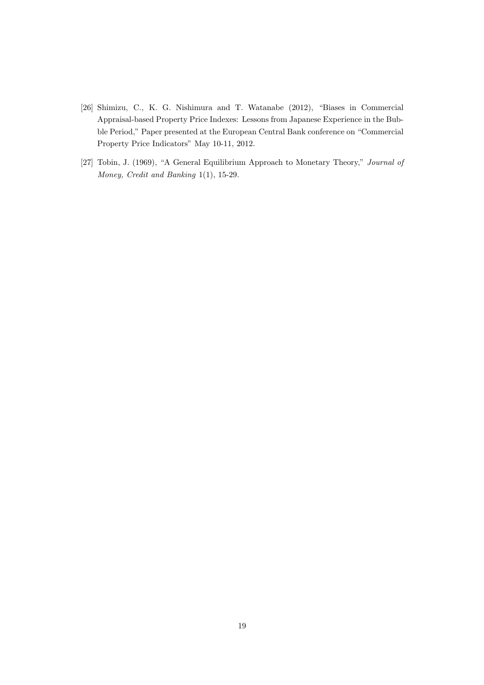- [26] Shimizu, C., K. G. Nishimura and T. Watanabe (2012), "Biases in Commercial Appraisal-based Property Price Indexes: Lessons from Japanese Experience in the Bubble Period," Paper presented at the European Central Bank conference on "Commercial Property Price Indicators" May 10-11, 2012.
- [27] Tobin, J. (1969), "A General Equilibrium Approach to Monetary Theory," *Journal of Money, Credit and Banking* 1(1), 15-29.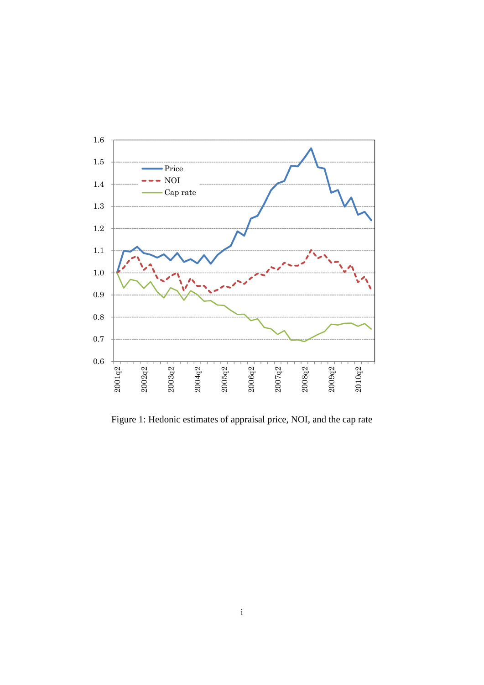

Figure 1: Hedonic estimates of appraisal price, NOI, and the cap rate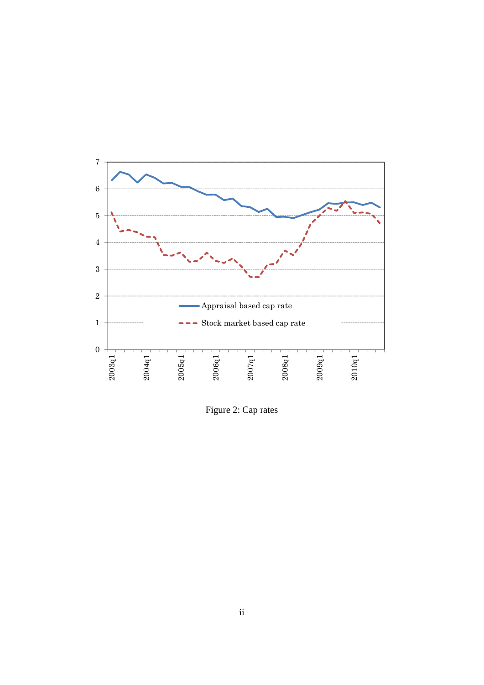

Figure 2: Cap rates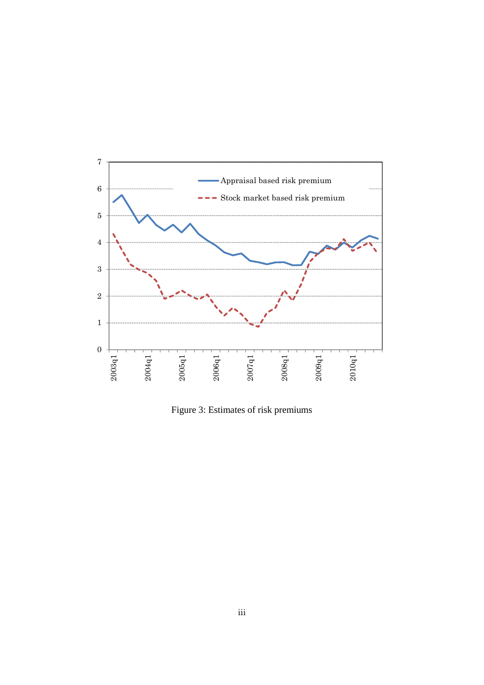

Figure 3: Estimates of risk premiums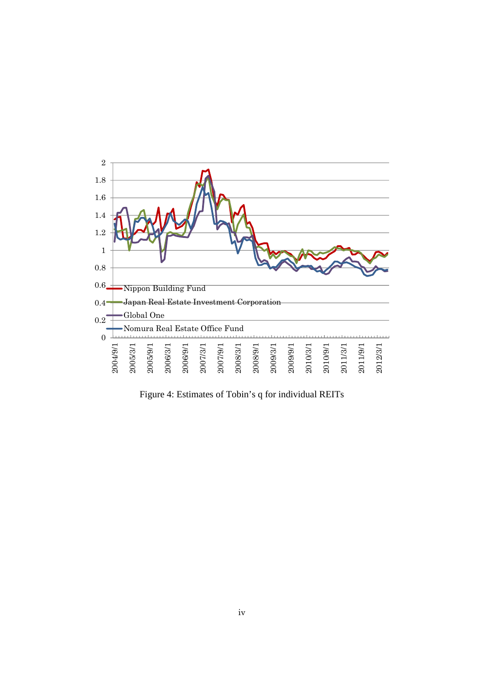

Figure 4: Estimates of Tobin's q for individual REITs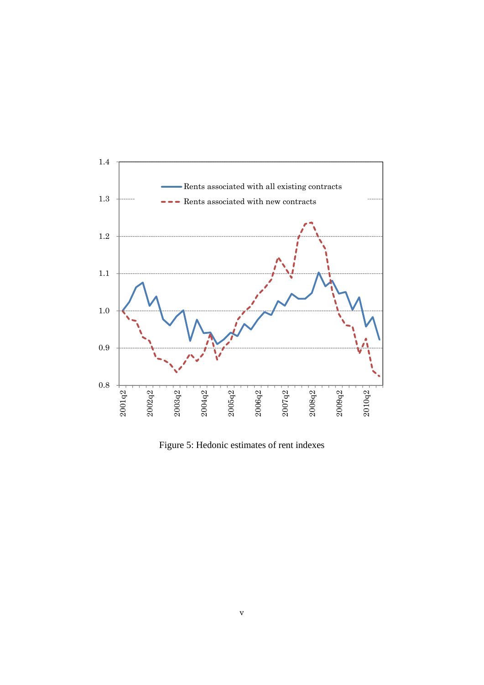

Figure 5: Hedonic estimates of rent indexes